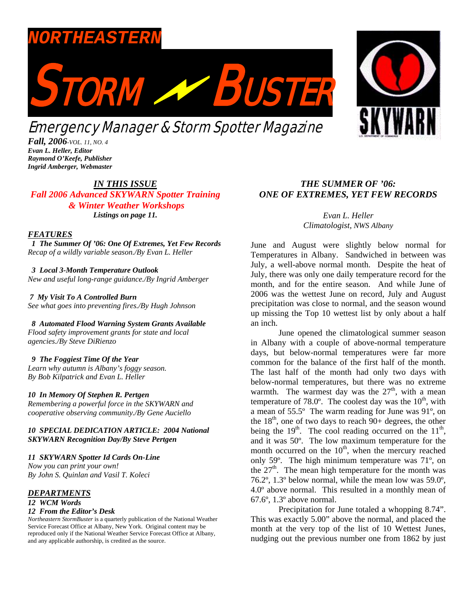

*Fall, 2006-VOL. 11, NO. 4 Evan L. Heller, Editor Raymond O'Keefe, Publisher Ingrid Amberger, Webmaster* 

### *IN THIS ISSUE*

*Fall 2006 Advanced SKYWARN Spotter Training & Winter Weather Workshops Listings on page 11.* 

#### *FEATURES*

 *1 The Summer Of '06: One Of Extremes, Yet Few Records Recap of a wildly variable season./By Evan L. Heller* 

 *3 Local 3-Month Temperature Outlook* 

*New and useful long-range guidance./By Ingrid Amberger* 

 *7 My Visit To A Controlled Burn See what goes into preventing fires./By Hugh Johnson* 

 *8 Automated Flood Warning System Grants Available Flood safety improvement grants for state and local agencies./By Steve DiRienzo* 

#### *9 The Foggiest Time Of the Year*

*Learn why autumn is Albany's foggy season. By Bob Kilpatrick and Evan L. Heller* 

#### *10 In Memory Of Stephen R. Pertgen*

*Remembering a powerful force in the SKYWARN and cooperative observing community./By Gene Auciello* 

*10 SPECIAL DEDICATION ARTICLE: 2004 National SKYWARN Recognition Day/By Steve Pertgen*

*11 SKYWARN Spotter Id Cards On-Line* 

*Now you can print your own! By John S. Quinlan and Vasil T. Koleci*

### *DEPARTMENTS*

*12 WCM Words* 

#### *12 From the Editor's Desk*

*Northeastern StormBuster* is a quarterly publication of the National Weather Service Forecast Office at Albany, New York. Original content may be reproduced only if the National Weather Service Forecast Office at Albany, and any applicable authorship, is credited as the source.

# *THE SUMMER OF '06: ONE OF EXTREMES, YET FEW RECORDS*

*Evan L. Heller Climatologist, NWS Albany*

June and August were slightly below normal for Temperatures in Albany. Sandwiched in between was July, a well-above normal month. Despite the heat of July, there was only one daily temperature record for the month, and for the entire season. And while June of 2006 was the wettest June on record, July and August precipitation was close to normal, and the season wound up missing the Top 10 wettest list by only about a half an inch.

 June opened the climatological summer season in Albany with a couple of above-normal temperature days, but below-normal temperatures were far more common for the balance of the first half of the month. The last half of the month had only two days with below-normal temperatures, but there was no extreme warmth. The warmest day was the  $27<sup>th</sup>$ , with a mean temperature of 78.0 $^{\circ}$ . The coolest day was the 10<sup>th</sup>, with a mean of 55.5º The warm reading for June was 91º, on the  $18<sup>th</sup>$ , one of two days to reach  $90+$  degrees, the other being the  $19<sup>th</sup>$ . The cool reading occurred on the  $11<sup>th</sup>$ , and it was 50º. The low maximum temperature for the month occurred on the  $10<sup>th</sup>$ , when the mercury reached only 59º. The high minimum temperature was 71º, on the  $27<sup>th</sup>$ . The mean high temperature for the month was 76.2º, 1.3º below normal, while the mean low was 59.0º, 4.0º above normal. This resulted in a monthly mean of 67.6º, 1.3º above normal.

 Precipitation for June totaled a whopping 8.74". This was exactly 5.00" above the normal, and placed the month at the very top of the list of 10 Wettest Junes, nudging out the previous number one from 1862 by just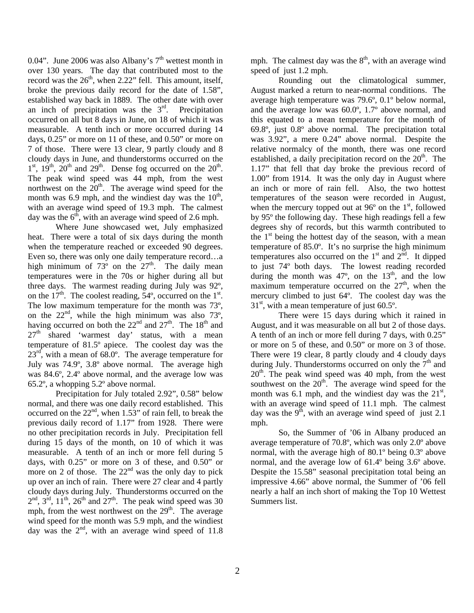0.04". June 2006 was also Albany's  $7<sup>th</sup>$  wettest month in over 130 years. The day that contributed most to the record was the  $26<sup>th</sup>$ , when 2.22" fell. This amount, itself, broke the previous daily record for the date of 1.58", established way back in 1889. The other date with over an inch of precipitation was the  $3<sup>rd</sup>$ . Precipitation occurred on all but 8 days in June, on 18 of which it was measurable. A tenth inch or more occurred during 14 days, 0.25" or more on 11 of these, and 0.50" or more on 7 of those. There were 13 clear, 9 partly cloudy and 8 cloudy days in June, and thunderstorms occurred on the  $1<sup>st</sup>$ ,  $19<sup>th</sup>$ ,  $20<sup>th</sup>$  and  $29<sup>th</sup>$ . Dense fog occurred on the  $20<sup>th</sup>$ . The peak wind speed was 44 mph, from the west northwest on the  $20<sup>th</sup>$ . The average wind speed for the month was 6.9 mph, and the windiest day was the  $10<sup>th</sup>$ , with an average wind speed of 19.3 mph. The calmest day was the  $6<sup>th</sup>$ , with an average wind speed of 2.6 mph.

 Where June showcased wet, July emphasized heat. There were a total of six days during the month when the temperature reached or exceeded 90 degrees. Even so, there was only one daily temperature record…a high minimum of  $73^{\circ}$  on the  $27^{\text{th}}$ . The daily mean temperatures were in the 70s or higher during all but three days. The warmest reading during July was 92º, on the  $17<sup>th</sup>$ . The coolest reading,  $54<sup>o</sup>$ , occurred on the  $1<sup>st</sup>$ . The low maximum temperature for the month was 73º, on the  $22<sup>nd</sup>$ , while the high minimum was also 73<sup>o</sup>, having occurred on both the  $22<sup>nd</sup>$  and  $27<sup>th</sup>$ . The  $18<sup>th</sup>$  and  $27<sup>th</sup>$  shared 'warmest day' status, with a mean temperature of 81.5º apiece. The coolest day was the  $23<sup>rd</sup>$ , with a mean of 68.0°. The average temperature for July was 74.9º, 3.8º above normal. The average high was 84.6º, 2.4º above normal, and the average low was 65.2º, a whopping 5.2º above normal.

 Precipitation for July totaled 2.92", 0.58" below normal, and there was one daily record established. This occurred on the  $22<sup>nd</sup>$ , when  $1.53$ " of rain fell, to break the previous daily record of 1.17" from 1928. There were no other precipitation records in July. Precipitation fell during 15 days of the month, on 10 of which it was measurable. A tenth of an inch or more fell during 5 days, with 0.25" or more on 3 of these, and 0.50" or more on 2 of those. The  $22<sup>nd</sup>$  was the only day to pick up over an inch of rain. There were 27 clear and 4 partly cloudy days during July. Thunderstorms occurred on the  $2<sup>nd</sup>$ ,  $3<sup>rd</sup>$ ,  $11<sup>th</sup>$ ,  $26<sup>th</sup>$  and  $27<sup>th</sup>$ . The peak wind speed was 30 mph, from the west northwest on the  $29<sup>th</sup>$ . The average wind speed for the month was 5.9 mph, and the windiest day was the  $2<sup>nd</sup>$ , with an average wind speed of 11.8

mph. The calmest day was the  $8<sup>th</sup>$ , with an average wind speed of just 1.2 mph.

 Rounding out the climatological summer, August marked a return to near-normal conditions. The average high temperature was 79.6º, 0.1º below normal, and the average low was 60.0º, 1.7º above normal, and this equated to a mean temperature for the month of 69.8º, just 0.8º above normal. The precipitation total was 3.92", a mere 0.24" above normal. Despite the relative normalcy of the month, there was one record established, a daily precipitation record on the  $20<sup>th</sup>$ . The 1.17" that fell that day broke the previous record of 1.00" from 1914. It was the only day in August where an inch or more of rain fell. Also, the two hottest temperatures of the season were recorded in August, when the mercury topped out at  $96^{\circ}$  on the  $1^{\text{st}}$ , followed by 95º the following day. These high readings fell a few degrees shy of records, but this warmth contributed to the  $1<sup>st</sup>$  being the hottest day of the season, with a mean temperature of 85.0º. It's no surprise the high minimum temperatures also occurred on the  $1<sup>st</sup>$  and  $2<sup>nd</sup>$ . It dipped to just 74º both days. The lowest reading recorded during the month was  $47^\circ$ , on the  $13^\text{th}$ , and the low maximum temperature occurred on the  $27<sup>th</sup>$ , when the mercury climbed to just 64º. The coolest day was the  $31<sup>st</sup>$ , with a mean temperature of just 60.5°.

 There were 15 days during which it rained in August, and it was measurable on all but 2 of those days. A tenth of an inch or more fell during 7 days, with 0.25" or more on 5 of these, and 0.50" or more on 3 of those. There were 19 clear, 8 partly cloudy and 4 cloudy days during July. Thunderstorms occurred on only the  $7<sup>th</sup>$  and  $20<sup>th</sup>$ . The peak wind speed was 40 mph, from the west southwest on the  $20<sup>th</sup>$ . The average wind speed for the month was 6.1 mph, and the windiest day was the  $21<sup>st</sup>$ , with an average wind speed of 11.1 mph. The calmest day was the  $9<sup>th</sup>$ , with an average wind speed of just 2.1 mph.

 So, the Summer of '06 in Albany produced an average temperature of 70.8º, which was only 2.0º above normal, with the average high of 80.1º being 0.3º above normal, and the average low of 61.4º being 3.6º above. Despite the 15.58" seasonal precipitation total being an impressive 4.66" above normal, the Summer of '06 fell nearly a half an inch short of making the Top 10 Wettest Summers list.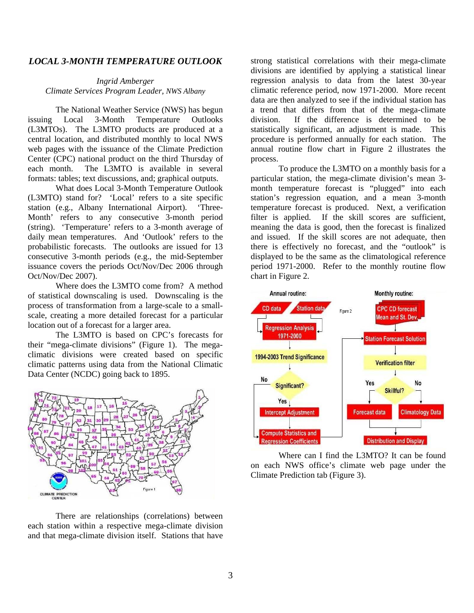## *LOCAL 3-MONTH TEMPERATURE OUTLOOK*

*Ingrid Amberger Climate Services Program Leader, NWS Albany* 

The National Weather Service (NWS) has begun issuing Local 3-Month Temperature Outlooks (L3MTOs). The L3MTO products are produced at a central location, and distributed monthly to local NWS web pages with the issuance of the Climate Prediction Center (CPC) national product on the third Thursday of each month. The L3MTO is available in several formats: tables; text discussions, and; graphical outputs.

What does Local 3-Month Temperature Outlook (L3MTO) stand for? 'Local' refers to a site specific station (e.g., Albany International Airport). 'Three-Month' refers to any consecutive 3-month period (string). 'Temperature' refers to a 3-month average of daily mean temperatures. And 'Outlook' refers to the probabilistic forecasts. The outlooks are issued for 13 consecutive 3-month periods (e.g., the mid-September issuance covers the periods Oct/Nov/Dec 2006 through Oct/Nov/Dec 2007).

Where does the L3MTO come from? A method of statistical downscaling is used. Downscaling is the process of transformation from a large-scale to a smallscale, creating a more detailed forecast for a particular location out of a forecast for a larger area.

The L3MTO is based on CPC's forecasts for their "mega-climate divisions" (Figure 1). The megaclimatic divisions were created based on specific climatic patterns using data from the National Climatic Data Center (NCDC) going back to 1895.



There are relationships (correlations) between each station within a respective mega-climate division and that mega-climate division itself. Stations that have

strong statistical correlations with their mega-climate divisions are identified by applying a statistical linear regression analysis to data from the latest 30-year climatic reference period, now 1971-2000. More recent data are then analyzed to see if the individual station has a trend that differs from that of the mega-climate division. If the difference is determined to be statistically significant, an adjustment is made. This procedure is performed annually for each station. The annual routine flow chart in Figure 2 illustrates the process.

To produce the L3MTO on a monthly basis for a particular station, the mega-climate division's mean 3 month temperature forecast is "plugged" into each station's regression equation, and a mean 3-month temperature forecast is produced. Next, a verification filter is applied. If the skill scores are sufficient, meaning the data is good, then the forecast is finalized and issued. If the skill scores are not adequate, then there is effectively no forecast, and the "outlook" is displayed to be the same as the climatological reference period 1971-2000. Refer to the monthly routine flow chart in Figure 2.



Where can I find the L3MTO? It can be found on each NWS office's climate web page under the Climate Prediction tab (Figure 3).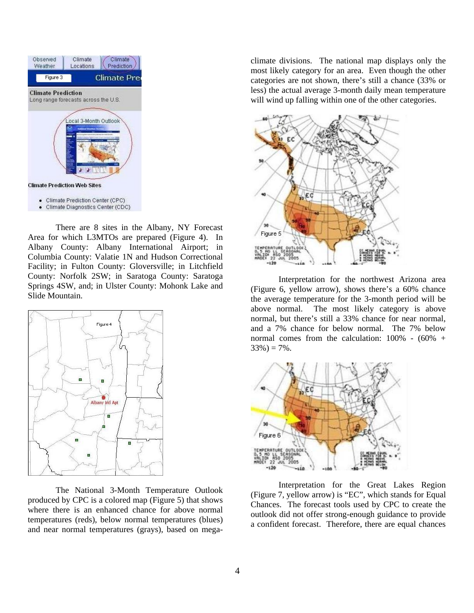

There are 8 sites in the Albany, NY Forecast Area for which L3MTOs are prepared (Figure 4). In Albany County: Albany International Airport; in Columbia County: Valatie 1N and Hudson Correctional Facility; in Fulton County: Gloversville; in Litchfield County: Norfolk 2SW; in Saratoga County: Saratoga Springs 4SW, and; in Ulster County: Mohonk Lake and Slide Mountain.



The National 3-Month Temperature Outlook produced by CPC is a colored map (Figure 5) that shows where there is an enhanced chance for above normal temperatures (reds), below normal temperatures (blues) and near normal temperatures (grays), based on megaclimate divisions. The national map displays only the most likely category for an area. Even though the other categories are not shown, there's still a chance (33% or less) the actual average 3-month daily mean temperature will wind up falling within one of the other categories.



Interpretation for the northwest Arizona area (Figure 6, yellow arrow), shows there's a 60% chance the average temperature for the 3-month period will be above normal. The most likely category is above normal, but there's still a 33% chance for near normal, and a 7% chance for below normal. The 7% below normal comes from the calculation:  $100\%$  -  $(60\%$  +  $33\% = 7\%$ .



Interpretation for the Great Lakes Region (Figure 7, yellow arrow) is "EC", which stands for Equal Chances. The forecast tools used by CPC to create the outlook did not offer strong-enough guidance to provide a confident forecast. Therefore, there are equal chances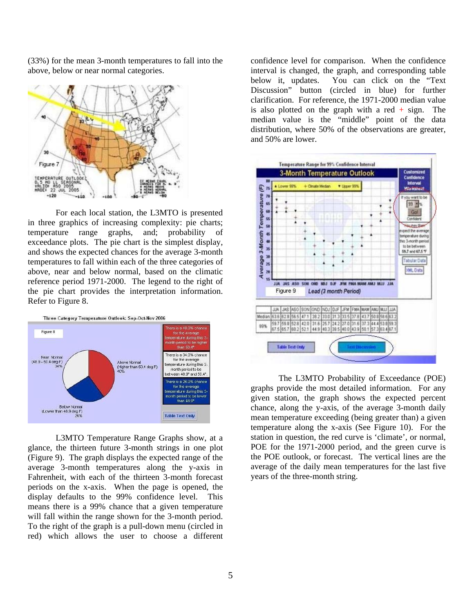(33%) for the mean 3-month temperatures to fall into the above, below or near normal categories.



For each local station, the L3MTO is presented in three graphics of increasing complexity: pie charts; temperature range graphs, and; probability of exceedance plots. The pie chart is the simplest display, and shows the expected chances for the average 3-month temperatures to fall within each of the three categories of above, near and below normal, based on the climatic reference period 1971-2000. The legend to the right of the pie chart provides the interpretation information. Refer to Figure 8.



L3MTO Temperature Range Graphs show, at a glance, the thirteen future 3-month strings in one plot (Figure 9). The graph displays the expected range of the average 3-month temperatures along the y-axis in Fahrenheit, with each of the thirteen 3-month forecast periods on the x-axis. When the page is opened, the display defaults to the 99% confidence level. This means there is a 99% chance that a given temperature will fall within the range shown for the 3-month period. To the right of the graph is a pull-down menu (circled in red) which allows the user to choose a different

confidence level for comparison. When the confidence interval is changed, the graph, and corresponding table below it, updates. You can click on the "Text Discussion" button (circled in blue) for further clarification. For reference, the 1971-2000 median value is also plotted on the graph with a red  $+$  sign. The median value is the "middle" point of the data distribution, where 50% of the observations are greater, and 50% are lower.



The L3MTO Probability of Exceedance (POE) graphs provide the most detailed information. For any given station, the graph shows the expected percent chance, along the y-axis, of the average 3-month daily mean temperature exceeding (being greater than) a given temperature along the x-axis (See Figure 10). For the station in question, the red curve is 'climate', or normal, POE for the 1971-2000 period, and the green curve is the POE outlook, or forecast. The vertical lines are the average of the daily mean temperatures for the last five years of the three-month string.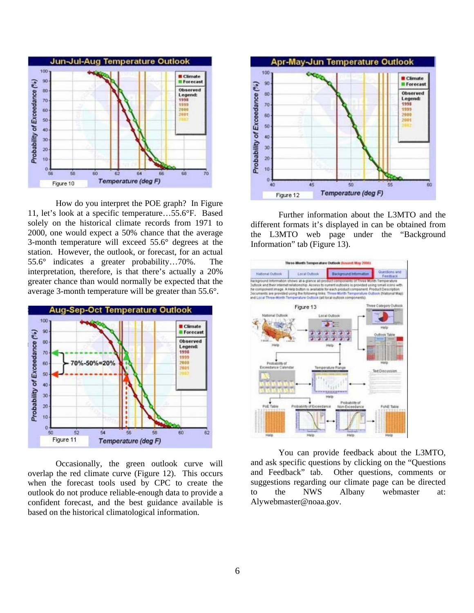

How do you interpret the POE graph? In Figure 11, let's look at a specific temperature…55.6°F. Based solely on the historical climate records from 1971 to 2000, one would expect a 50% chance that the average 3-month temperature will exceed 55.6° degrees at the station. However, the outlook, or forecast, for an actual 55.6° indicates a greater probability…70%. The interpretation, therefore, is that there's actually a 20% greater chance than would normally be expected that the average 3-month temperature will be greater than 55.6°.



Occasionally, the green outlook curve will overlap the red climate curve (Figure 12). This occurs when the forecast tools used by CPC to create the outlook do not produce reliable-enough data to provide a confident forecast, and the best guidance available is based on the historical climatological information.



Further information about the L3MTO and the different formats it's displayed in can be obtained from the L3MTO web page under the "Background Information" tab (Figure 13).



You can provide feedback about the L3MTO, and ask specific questions by clicking on the "Questions and Feedback" tab. Other questions, comments or suggestions regarding our climate page can be directed to the NWS Albany webmaster at: Alywebmaster@noaa.gov.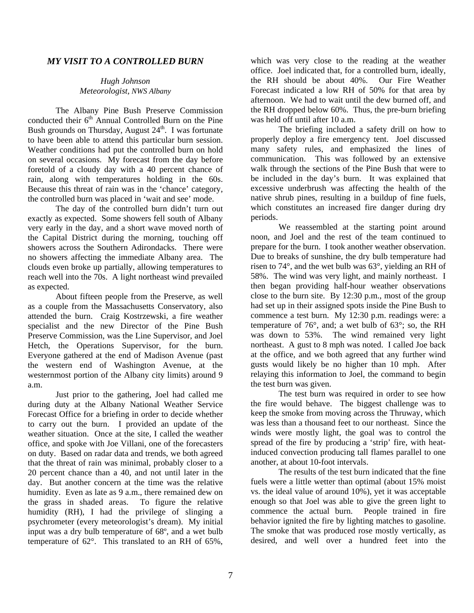## *MY VISIT TO A CONTROLLED BURN*

### *Hugh Johnson Meteorologist, NWS Albany*

The Albany Pine Bush Preserve Commission conducted their  $6<sup>th</sup>$  Annual Controlled Burn on the Pine Bush grounds on Thursday, August  $24<sup>th</sup>$ . I was fortunate to have been able to attend this particular burn session. Weather conditions had put the controlled burn on hold on several occasions. My forecast from the day before foretold of a cloudy day with a 40 percent chance of rain, along with temperatures holding in the 60s. Because this threat of rain was in the 'chance' category, the controlled burn was placed in 'wait and see' mode.

The day of the controlled burn didn't turn out exactly as expected. Some showers fell south of Albany very early in the day, and a short wave moved north of the Capital District during the morning, touching off showers across the Southern Adirondacks. There were no showers affecting the immediate Albany area. The clouds even broke up partially, allowing temperatures to reach well into the 70s. A light northeast wind prevailed as expected.

About fifteen people from the Preserve, as well as a couple from the Massachusetts Conservatory, also attended the burn. Craig Kostrzewski, a fire weather specialist and the new Director of the Pine Bush Preserve Commission, was the Line Supervisor, and Joel Hetch, the Operations Supervisor, for the burn. Everyone gathered at the end of Madison Avenue (past the western end of Washington Avenue, at the westernmost portion of the Albany city limits) around 9 a.m.

Just prior to the gathering, Joel had called me during duty at the Albany National Weather Service Forecast Office for a briefing in order to decide whether to carry out the burn. I provided an update of the weather situation. Once at the site, I called the weather office, and spoke with Joe Villani, one of the forecasters on duty. Based on radar data and trends, we both agreed that the threat of rain was minimal, probably closer to a 20 percent chance than a 40, and not until later in the day. But another concern at the time was the relative humidity. Even as late as 9 a.m., there remained dew on the grass in shaded areas. To figure the relative humidity (RH), I had the privilege of slinging a psychrometer (every meteorologist's dream). My initial input was a dry bulb temperature of 68º, and a wet bulb temperature of 62°. This translated to an RH of 65%,

which was very close to the reading at the weather office. Joel indicated that, for a controlled burn, ideally, the RH should be about 40%. Our Fire Weather Forecast indicated a low RH of 50% for that area by afternoon. We had to wait until the dew burned off, and the RH dropped below 60%. Thus, the pre-burn briefing was held off until after 10 a.m.

The briefing included a safety drill on how to properly deploy a fire emergency tent. Joel discussed many safety rules, and emphasized the lines of communication. This was followed by an extensive walk through the sections of the Pine Bush that were to be included in the day's burn. It was explained that excessive underbrush was affecting the health of the native shrub pines, resulting in a buildup of fine fuels, which constitutes an increased fire danger during dry periods.

We reassembled at the starting point around noon, and Joel and the rest of the team continued to prepare for the burn. I took another weather observation. Due to breaks of sunshine, the dry bulb temperature had risen to 74°, and the wet bulb was 63°, yielding an RH of 58%. The wind was very light, and mainly northeast. I then began providing half-hour weather observations close to the burn site. By 12:30 p.m., most of the group had set up in their assigned spots inside the Pine Bush to commence a test burn. My 12:30 p.m. readings were: a temperature of  $76^\circ$ , and; a wet bulb of  $63^\circ$ ; so, the RH was down to 53%. The wind remained very light northeast. A gust to 8 mph was noted. I called Joe back at the office, and we both agreed that any further wind gusts would likely be no higher than 10 mph. After relaying this information to Joel, the command to begin the test burn was given.

The test burn was required in order to see how the fire would behave. The biggest challenge was to keep the smoke from moving across the Thruway, which was less than a thousand feet to our northeast. Since the winds were mostly light, the goal was to control the spread of the fire by producing a 'strip' fire, with heatinduced convection producing tall flames parallel to one another, at about 10-foot intervals.

The results of the test burn indicated that the fine fuels were a little wetter than optimal (about 15% moist vs. the ideal value of around 10%), yet it was acceptable enough so that Joel was able to give the green light to commence the actual burn. People trained in fire behavior ignited the fire by lighting matches to gasoline. The smoke that was produced rose mostly vertically, as desired, and well over a hundred feet into the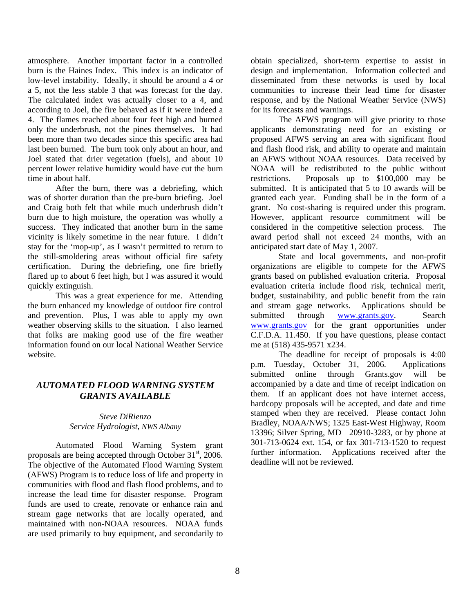atmosphere. Another important factor in a controlled burn is the Haines Index. This index is an indicator of low-level instability. Ideally, it should be around a 4 or a 5, not the less stable 3 that was forecast for the day. The calculated index was actually closer to a 4, and according to Joel, the fire behaved as if it were indeed a 4. The flames reached about four feet high and burned only the underbrush, not the pines themselves. It had been more than two decades since this specific area had last been burned. The burn took only about an hour, and Joel stated that drier vegetation (fuels), and about 10 percent lower relative humidity would have cut the burn time in about half.

After the burn, there was a debriefing, which was of shorter duration than the pre-burn briefing. Joel and Craig both felt that while much underbrush didn't burn due to high moisture, the operation was wholly a success. They indicated that another burn in the same vicinity is likely sometime in the near future. I didn't stay for the 'mop-up', as I wasn't permitted to return to the still-smoldering areas without official fire safety certification. During the debriefing, one fire briefly flared up to about 6 feet high, but I was assured it would quickly extinguish.

This was a great experience for me. Attending the burn enhanced my knowledge of outdoor fire control and prevention. Plus, I was able to apply my own weather observing skills to the situation. I also learned that folks are making good use of the fire weather information found on our local National Weather Service website.

## *AUTOMATED FLOOD WARNING SYSTEM GRANTS AVAILABLE*

### *Steve DiRienzo Service Hydrologist, NWS Albany*

Automated Flood Warning System grant proposals are being accepted through October  $31<sup>st</sup>$ , 2006. The objective of the Automated Flood Warning System (AFWS) Program is to reduce loss of life and property in communities with flood and flash flood problems, and to increase the lead time for disaster response. Program funds are used to create, renovate or enhance rain and stream gage networks that are locally operated, and maintained with non-NOAA resources. NOAA funds are used primarily to buy equipment, and secondarily to

obtain specialized, short-term expertise to assist in design and implementation. Information collected and disseminated from these networks is used by local communities to increase their lead time for disaster response, and by the National Weather Service (NWS) for its forecasts and warnings.

 The AFWS program will give priority to those applicants demonstrating need for an existing or proposed AFWS serving an area with significant flood and flash flood risk, and ability to operate and maintain an AFWS without NOAA resources. Data received by NOAA will be redistributed to the public without restrictions. Proposals up to \$100,000 may be submitted. It is anticipated that 5 to 10 awards will be granted each year. Funding shall be in the form of a grant. No cost-sharing is required under this program. However, applicant resource commitment will be considered in the competitive selection process. The award period shall not exceed 24 months, with an anticipated start date of May 1, 2007.

 State and local governments, and non-profit organizations are eligible to compete for the AFWS grants based on published evaluation criteria. Proposal evaluation criteria include flood risk, technical merit, budget, sustainability, and public benefit from the rain and stream gage networks. Applications should be submitted through www.grants.gov. Search www.grants.gov for the grant opportunities under C.F.D.A. 11.450. If you have questions, please contact me at (518) 435-9571 x234.

 The deadline for receipt of proposals is 4:00 p.m. Tuesday, October 31, 2006. Applications submitted online through Grants.gov will be accompanied by a date and time of receipt indication on them. If an applicant does not have internet access, hardcopy proposals will be accepted, and date and time stamped when they are received. Please contact John Bradley, NOAA/NWS; 1325 East-West Highway, Room 13396; Silver Spring, MD 20910-3283, or by phone at 301-713-0624 ext. 154, or fax 301-713-1520 to request further information. Applications received after the deadline will not be reviewed.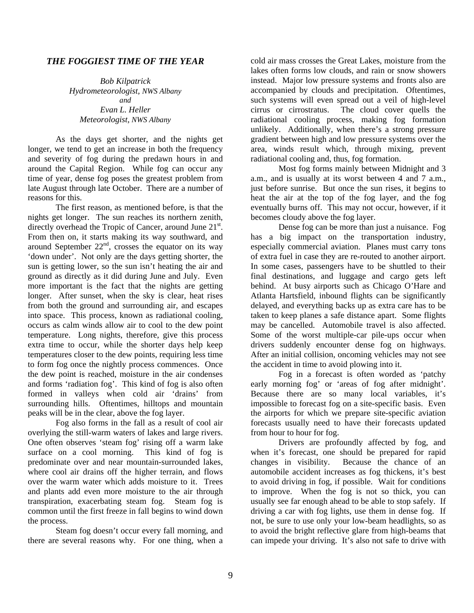### *THE FOGGIEST TIME OF THE YEAR*

*Bob Kilpatrick Hydrometeorologist, NWS Albany and Evan L. Heller Meteorologist, NWS Albany* 

 As the days get shorter, and the nights get longer, we tend to get an increase in both the frequency and severity of fog during the predawn hours in and around the Capital Region. While fog can occur any time of year, dense fog poses the greatest problem from late August through late October. There are a number of reasons for this.

The first reason, as mentioned before, is that the nights get longer. The sun reaches its northern zenith, directly overhead the Tropic of Cancer, around June 21<sup>st</sup>. From then on, it starts making its way southward, and around September  $22<sup>nd</sup>$ , crosses the equator on its way 'down under'. Not only are the days getting shorter, the sun is getting lower, so the sun isn't heating the air and ground as directly as it did during June and July. Even more important is the fact that the nights are getting longer. After sunset, when the sky is clear, heat rises from both the ground and surrounding air, and escapes into space. This process, known as radiational cooling, occurs as calm winds allow air to cool to the dew point temperature. Long nights, therefore, give this process extra time to occur, while the shorter days help keep temperatures closer to the dew points, requiring less time to form fog once the nightly process commences. Once the dew point is reached, moisture in the air condenses and forms 'radiation fog'. This kind of fog is also often formed in valleys when cold air 'drains' from surrounding hills. Oftentimes, hilltops and mountain peaks will be in the clear, above the fog layer.

 Fog also forms in the fall as a result of cool air overlying the still-warm waters of lakes and large rivers. One often observes 'steam fog' rising off a warm lake surface on a cool morning. This kind of fog is predominate over and near mountain-surrounded lakes, where cool air drains off the higher terrain, and flows over the warm water which adds moisture to it. Trees and plants add even more moisture to the air through transpiration, exacerbating steam fog. Steam fog is common until the first freeze in fall begins to wind down the process.

 Steam fog doesn't occur every fall morning, and there are several reasons why. For one thing, when a

cold air mass crosses the Great Lakes, moisture from the lakes often forms low clouds, and rain or snow showers instead. Major low pressure systems and fronts also are accompanied by clouds and precipitation. Oftentimes, such systems will even spread out a veil of high-level cirrus or cirrostratus. The cloud cover quells the radiational cooling process, making fog formation unlikely. Additionally, when there's a strong pressure gradient between high and low pressure systems over the area, winds result which, through mixing, prevent radiational cooling and, thus, fog formation.

 Most fog forms mainly between Midnight and 3 a.m., and is usually at its worst between 4 and 7 a.m., just before sunrise. But once the sun rises, it begins to heat the air at the top of the fog layer, and the fog eventually burns off. This may not occur, however, if it becomes cloudy above the fog layer.

 Dense fog can be more than just a nuisance. Fog has a big impact on the transportation industry, especially commercial aviation. Planes must carry tons of extra fuel in case they are re-routed to another airport. In some cases, passengers have to be shuttled to their final destinations, and luggage and cargo gets left behind. At busy airports such as Chicago O'Hare and Atlanta Hartsfield, inbound flights can be significantly delayed, and everything backs up as extra care has to be taken to keep planes a safe distance apart. Some flights may be cancelled. Automobile travel is also affected. Some of the worst multiple-car pile-ups occur when drivers suddenly encounter dense fog on highways. After an initial collision, oncoming vehicles may not see the accident in time to avoid plowing into it.

 Fog in a forecast is often worded as 'patchy early morning fog' or 'areas of fog after midnight'. Because there are so many local variables, it's impossible to forecast fog on a site-specific basis. Even the airports for which we prepare site-specific aviation forecasts usually need to have their forecasts updated from hour to hour for fog.

 Drivers are profoundly affected by fog, and when it's forecast, one should be prepared for rapid changes in visibility. Because the chance of an automobile accident increases as fog thickens, it's best to avoid driving in fog, if possible. Wait for conditions to improve. When the fog is not so thick, you can usually see far enough ahead to be able to stop safely. If driving a car with fog lights, use them in dense fog. If not, be sure to use only your low-beam headlights, so as to avoid the bright reflective glare from high-beams that can impede your driving. It's also not safe to drive with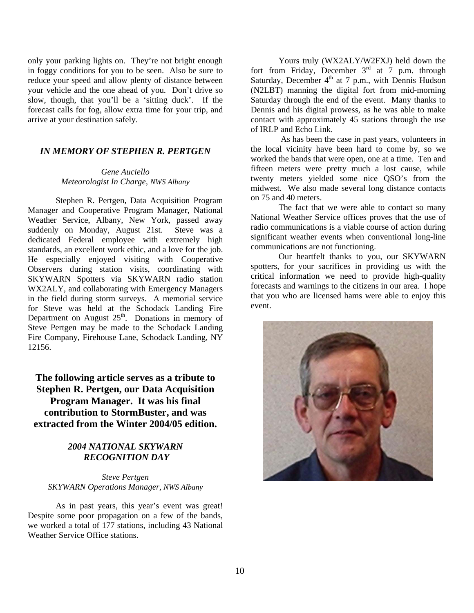only your parking lights on. They're not bright enough in foggy conditions for you to be seen. Also be sure to reduce your speed and allow plenty of distance between your vehicle and the one ahead of you. Don't drive so slow, though, that you'll be a 'sitting duck'. If the forecast calls for fog, allow extra time for your trip, and arrive at your destination safely.

## *IN MEMORY OF STEPHEN R. PERTGEN*

*Gene Auciello Meteorologist In Charge, NWS Albany*

Stephen R. Pertgen, Data Acquisition Program Manager and Cooperative Program Manager, National Weather Service, Albany, New York, passed away suddenly on Monday, August 21st. Steve was a dedicated Federal employee with extremely high standards, an excellent work ethic, and a love for the job. He especially enjoyed visiting with Cooperative Observers during station visits, coordinating with SKYWARN Spotters via SKYWARN radio station WX2ALY, and collaborating with Emergency Managers in the field during storm surveys. A memorial service for Steve was held at the Schodack Landing Fire Department on August  $25<sup>th</sup>$ . Donations in memory of Steve Pertgen may be made to the Schodack Landing Fire Company, Firehouse Lane, Schodack Landing, NY 12156.

**The following article serves as a tribute to Stephen R. Pertgen, our Data Acquisition Program Manager. It was his final contribution to StormBuster, and was extracted from the Winter 2004/05 edition.** 

## *2004 NATIONAL SKYWARN RECOGNITION DAY*

*Steve Pertgen SKYWARN Operations Manager, NWS Albany* 

As in past years, this year's event was great! Despite some poor propagation on a few of the bands, we worked a total of 177 stations, including 43 National Weather Service Office stations.

 Yours truly (WX2ALY/W2FXJ) held down the fort from Friday, December  $3<sup>rd</sup>$  at 7 p.m. through Saturday, December  $4<sup>th</sup>$  at 7 p.m., with Dennis Hudson (N2LBT) manning the digital fort from mid-morning Saturday through the end of the event. Many thanks to Dennis and his digital prowess, as he was able to make contact with approximately 45 stations through the use of IRLP and Echo Link.

 As has been the case in past years, volunteers in the local vicinity have been hard to come by, so we worked the bands that were open, one at a time. Ten and fifteen meters were pretty much a lost cause, while twenty meters yielded some nice QSO's from the midwest. We also made several long distance contacts on 75 and 40 meters.

 The fact that we were able to contact so many National Weather Service offices proves that the use of radio communications is a viable course of action during significant weather events when conventional long-line communications are not functioning.

 Our heartfelt thanks to you, our SKYWARN spotters, for your sacrifices in providing us with the critical information we need to provide high-quality forecasts and warnings to the citizens in our area. I hope that you who are licensed hams were able to enjoy this event.

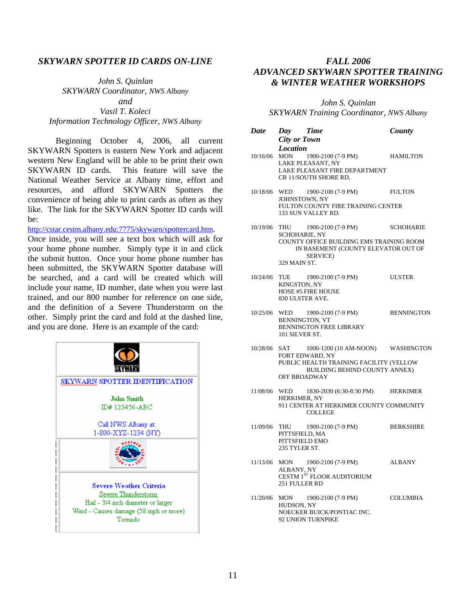### *SKYWARN SPOTTER ID CARDS ON-LINE*

*John S. Quinlan SKYWARN Coordinator, NWS Albany and Vasil T. Koleci Information Technology Officer, NWS Albany*

Beginning October 4, 2006, all current SKYWARN Spotters is eastern New York and adjacent western New England will be able to be print their own SKYWARN ID cards. This feature will save the National Weather Service at Albany time, effort and resources, and afford SKYWARN Spotters the convenience of being able to print cards as often as they like. The link for the SKYWARN Spotter ID cards will be:

http://cstar.cestm.albany.edu:7775/skywarn/spottercard.htm.

Once inside, you will see a text box which will ask for your home phone number. Simply type it in and click the submit button. Once your home phone number has been submitted, the SKYWARN Spotter database will be searched, and a card will be created which will include your name, ID number, date when you were last trained, and our 800 number for reference on one side, and the definition of a Severe Thunderstorm on the other. Simply print the card and fold at the dashed line, and you are done. Here is an example of the card:



## *FALL 2006 ADVANCED SKYWARN SPOTTER TRAINING & WINTER WEATHER WORKSHOPS*

*John S. Quinlan SKYWARN Training Coordinator, NWS Albany*

| <b>Date</b> | Day Time<br><b>City or Town</b>             |                                                                                                                                                                    | County           |
|-------------|---------------------------------------------|--------------------------------------------------------------------------------------------------------------------------------------------------------------------|------------------|
| 10/16/06    | <b>Location</b>                             | MON $1900-2100$ (7-9 PM) HAMILTON<br>LAKE PLEASANT, NY<br>LAKE PLEASANT FIRE DEPARTMENT<br>CR 11/SOUTH SHORE RD.                                                   |                  |
| 10/18/06    |                                             | WED 1900-2100 (7-9 PM) FULTON<br>JOHNSTOWN, NY<br>FULTON COUNTY FIRE TRAINING CENTER<br>133 SUN VALLEY RD.                                                         |                  |
| 10/19/06    | <b>SCHOHARIE, NY</b><br>329 MAIN ST.        | THU 1900-2100 (7-9 PM) SCHOHARIE<br>COUNTY OFFICE BUILDING EMS TRAINING ROOM<br>IN BASEMENT (COUNTY ELEVATOR OUT OF<br><b>SERVICE</b> )                            |                  |
| 10/24/06    | KINGSTON, NY                                | TUE 1900-2100 (7-9 PM)<br><b>HOSE #5 FIRE HOUSE</b><br>830 ULSTER AVE.                                                                                             | ULSTER           |
| 10/25/06    | 101 SILVER ST.                              | WED 1900-2100 (7-9 PM) BENNINGTON<br>BENNINGTON, VT<br><b>BENNINGTON FREE LIBRARY</b>                                                                              |                  |
| 10/28/06    |                                             | SAT 1000-1200 (10 AM-NOON) WASHINGTON<br>FORT EDWARD, NY<br>PUBLIC HEALTH TRAINING FACILITY (YELLOW<br><b>BUILDING BEHIND COUNTY ANNEX)</b><br><b>OFF BROADWAY</b> |                  |
| 11/08/06    | HERKIMER, NY                                | WED 1830-2030 (6:30-8:30 PM) HERKIMER<br>911 CENTER AT HERKIMER COUNTY COMMUNITY<br><b>COLLEGE</b>                                                                 |                  |
| 11/09/06    | PITTSFIELD, MA<br>235 TYLER ST.             | THU 1900-2100 (7-9 PM)<br>PITTSFIELD EMO                                                                                                                           | <b>BERKSHIRE</b> |
|             | 11/13/06 MON<br>ALBANY, NY<br>251 FULLER RD | 1900-2100 (7-9 PM)<br>CESTM 1ST FLOOR AUDITORIUM                                                                                                                   | <b>ALBANY</b>    |
| 11/20/06    | <b>MON</b><br>HUDSON, NY                    | 1900-2100 (7-9 PM)<br>NOECKER BUICK/PONTIAC INC.<br>92 UNION TURNPIKE                                                                                              | COLUMBIA         |